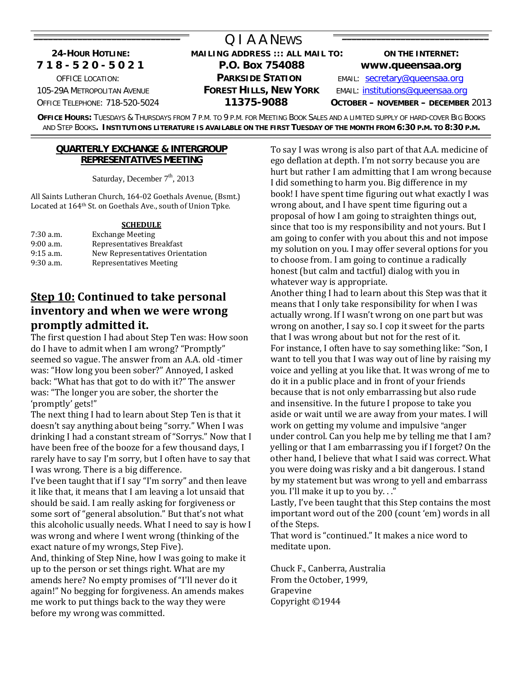#### O LA A NEWS  **24-HOUR HOTLINE: MAILING ADDRESS ::: ALL MAIL TO: ON THE INTERNET: 7 1 8 - 5 2 0 - 5 0 2 1 P.O. Box 754088 www.queensaa.org** OFFICE LOCATION: **PARKSIDE STATION** EMAIL: [secretary@queensaa.org](mailto:secretary@queensaa.org) 105-29A METROPOLITAN AVENUE **FOREST HILLS, NEW YORK** EMAIL: [institutions@queensaa.org](mailto:institutions@queensaa.org) OFFICE TELEPHONE: 718-520-5024 **11375-9088 OCTOBER – NOVEMBER – DECEMBER** 2013

**OFFICE HOURS:** TUESDAYS & THURSDAYS FROM 7 P.M. TO 9 P.M. FOR MEETING BOOK SALES AND A LIMITED SUPPLY OF HARD-COVER BIG BOOKS AND STEP BOOKS**. INSTITUTIONS LITERATURE IS AVAILABLE ON THE FIRST TUESDAY OF THE MONTH FROM 6:30 P.M. TO 8:30 P.M.** \_\_\_\_\_\_\_\_\_\_\_\_\_\_\_\_\_\_\_\_\_\_\_\_\_\_\_\_\_\_\_\_\_\_\_\_\_\_\_\_\_\_\_\_\_\_\_\_\_\_\_\_\_\_\_\_\_\_\_\_\_\_\_\_\_\_\_\_\_\_\_\_\_\_\_\_\_\_\_\_\_\_\_\_\_\_\_\_\_\_\_\_\_\_\_\_\_\_\_\_\_\_\_\_\_\_\_\_\_\_\_\_\_\_\_\_\_\_\_\_\_\_\_\_\_\_\_\_\_\_\_\_\_\_\_\_\_\_\_\_\_

#### **QUARTERLY EXCHANGE & INTERGROUP REPRESENTATIVES MEETING**

Saturday, December  $7<sup>th</sup>$ , 2013

All Saints Lutheran Church, 164‐02 Goethals Avenue, (Bsmt.) Located at 164th St. on Goethals Ave., south of Union Tpke.

#### **SCHEDULE**

| $7:30$ a.m. | <b>Exchange Meeting</b>         |
|-------------|---------------------------------|
| $9:00$ a.m. | Representatives Breakfast       |
| $9:15$ a.m. | New Representatives Orientation |
| $9:30$ a.m. | Representatives Meeting         |

# **Step 10: Continued to take personal inventory and when we were wrong promptly admitted it.**

The first question I had about Step Ten was: How soon do I have to admit when I am wrong? "Promptly" seemed so vague. The answer from an A.A. old ‐timer was: "How long you been sober?" Annoyed, I asked back: "What has that got to do with it?" The answer was: "The longer you are sober, the shorter the 'promptly' gets!"

The next thing I had to learn about Step Ten is that it doesn't say anything about being "sorry." When I was drinking I had a constant stream of "Sorrys." Now that I have been free of the booze for a few thousand days, I rarely have to say I'm sorry, but I often have to say that I was wrong. There is a big difference.

I've been taught that if I say "I'm sorry" and then leave it like that, it means that I am leaving a lot unsaid that should be said. I am really asking for forgiveness or some sort of "general absolution." But that's not what this alcoholic usually needs. What I need to say is how I was wrong and where I went wrong (thinking of the exact nature of my wrongs, Step Five). And, thinking of Step Nine, how I was going to make it up to the person or set things right. What are my

amends here? No empty promises of "I'll never do it again!" No begging for forgiveness. An amends makes me work to put things back to the way they were before my wrong was committed.

To say I was wrong is also part of that A.A. medicine of ego deflation at depth. I'm not sorry because you are hurt but rather I am admitting that I am wrong because I did something to harm you. Big difference in my book! I have spent time figuring out what exactly I was wrong about, and I have spent time figuring out a proposal of how I am going to straighten things out, since that too is my responsibility and not yours. But I am going to confer with you about this and not impose my solution on you. I may offer several options for you to choose from. I am going to continue a radically honest (but calm and tactful) dialog with you in whatever way is appropriate.

Another thing I had to learn about this Step was that it means that I only take responsibility for when I was actually wrong. If I wasn't wrong on one part but was wrong on another, I say so. I cop it sweet for the parts that I was wrong about but not for the rest of it. For instance, I often have to say something like: "Son, I want to tell you that I was way out of line by raising my voice and yelling at you like that. It was wrong of me to do it in a public place and in front of your friends because that is not only embarrassing but also rude and insensitive. In the future I propose to take you aside or wait until we are away from your mates. I will work on getting my volume and impulsive "anger under control. Can you help me by telling me that I am? yelling or that I am embarrassing you if I forget? On the other hand, I believe that what I said was correct. What you were doing was risky and a bit dangerous. I stand by my statement but was wrong to yell and embarrass you. I'll make it up to you by. . ."

Lastly, I've been taught that this Step contains the most important word out of the 200 (count 'em) words in all of the Steps.

That word is "continued." It makes a nice word to meditate upon.

Chuck F., Canberra, Australia From the October, 1999, Grapevine Copyright ©1944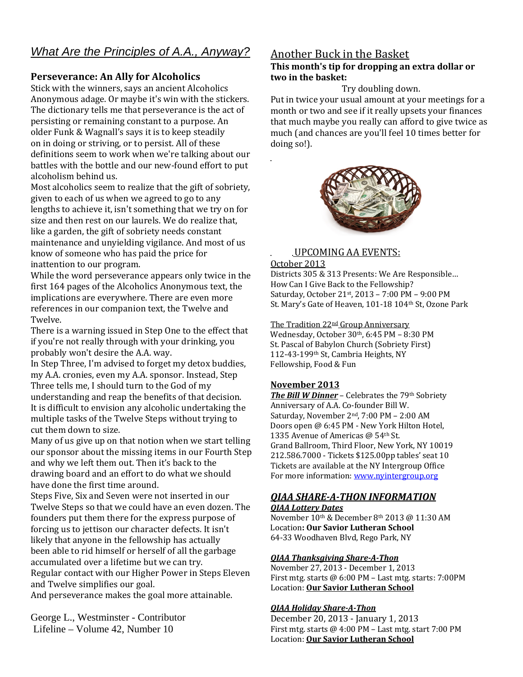# *What Are the Principles of A.A., Anyway?*

#### **Perseverance: An Ally for Alcoholics**

Stick with the winners, says an ancient Alcoholics Anonymous adage. Or maybe it's win with the stickers. The dictionary tells me that perseverance is the act of persisting or remaining constant to a purpose. An older Funk & Wagnall's says it is to keep steadily on in doing or striving, or to persist. All of these definitions seem to work when we're talking about our battles with the bottle and our new‐found effort to put alcoholism behind us.

Most alcoholics seem to realize that the gift of sobriety, given to each of us when we agreed to go to any lengths to achieve it, isn't something that we try on for size and then rest on our laurels. We do realize that, like a garden, the gift of sobriety needs constant maintenance and unyielding vigilance. And most of us know of someone who has paid the price for inattention to our program.

While the word perseverance appears only twice in the first 164 pages of the Alcoholics Anonymous text, the implications are everywhere. There are even more references in our companion text, the Twelve and Twelve.

There is a warning issued in Step One to the effect that if you're not really through with your drinking, you probably won't desire the A.A. way.

In Step Three, I'm advised to forget my detox buddies, my A.A. cronies, even my A.A. sponsor. Instead, Step Three tells me, I should turn to the God of my understanding and reap the benefits of that decision. It is difficult to envision any alcoholic undertaking the multiple tasks of the Twelve Steps without trying to cut them down to size.

Many of us give up on that notion when we start telling our sponsor about the missing items in our Fourth Step and why we left them out. Then it's back to the drawing board and an effort to do what we should have done the first time around.

Steps Five, Six and Seven were not inserted in our Twelve Steps so that we could have an even dozen. The founders put them there for the express purpose of forcing us to jettison our character defects. It isn't likely that anyone in the fellowship has actually been able to rid himself or herself of all the garbage accumulated over a lifetime but we can try. Regular contact with our Higher Power in Steps Eleven and Twelve simplifies our goal.

And perseverance makes the goal more attainable.

George L., Westminster - Contributor Lifeline – Volume 42, Number 10

### Another Buck in the Basket

#### **This month's tip for dropping an extra dollar or two in the basket:**

#### Try doubling down.

Put in twice your usual amount at your meetings for a month or two and see if it really upsets your finances that much maybe you really can afford to give twice as much (and chances are you'll feel 10 times better for doing so!).



#### UPCOMING AA EVENTS:

#### October 2013

Districts 305 & 313 Presents: We Are Responsible… How Can I Give Back to the Fellowship? Saturday, October 21st, 2013 – 7:00 PM – 9:00 PM St. Mary's Gate of Heaven, 101-18 104th St, Ozone Park

The Tradition 22<sup>nd</sup> Group Anniversary Wednesday, October 30th, 6:45 PM - 8:30 PM St. Pascal of Babylon Church (Sobriety First) 112-43-199<sup>th</sup> St, Cambria Heights, NY F ellowship, Food & Fun

#### **November 2013**

*The Bill W Dinner* – Celebrates the 79th Sobriety Anniversary of A.A. Co‐founder Bill W. Saturday, November 2<sup>nd</sup>, 7:00 PM - 2:00 AM Doors open @ 6:45 PM ‐ New York Hilton Hotel, 1335 Avenue of Americas @ 54th St. Grand Ballroom, Third Floor, New York, NY 10019 212.586.7000 ‐ Tickets \$125.00pp tables' seat 10 Tickets are available at the NY Intergroup Office For more information: [www.nyintergroup.org](http://www.nyintergroup.org/)

# *QIAA SHAREATHON IN ORMATION F*

#### *QIAA Lottery Dates*

November  $10^{th}$  & December  $8^{th}$  2013 @ 11:30 AM Location**: Our Savior Lutheran School**  64‐33 Woodhaven Blvd, Rego Park, NY

#### *QIAA Thanksgiving ShareAThon*

 27, 2013 ‐ December 1, 2013 November First mtg. starts  $@6:00$  PM  $-$  Last mtg. starts:  $7:00$ PM Location: **Our Savior Lutheran School**

#### *QIAA Holiday ShareAThon*

December 20, 2013 - January 1, 2013 First mtg. starts  $@$  4:00 PM - Last mtg. start 7:00 PM Location: **Our Savior Lutheran School**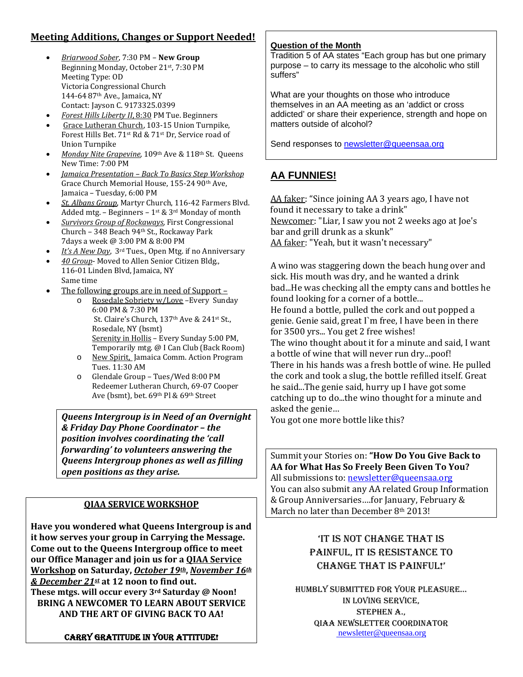# **Meeting Additions, Changes or Support Needed!**

- *Briarwood Sober*, 7:30 PM **New Group** Beginning Monday, October 21st, 7:30 PM Meeting Type: OD Victoria Congressional Church 144‐64 87th Ave., Jamaica, NY Contact: Jayson C. 9173325.0399
- *Forest Hills Liberty II*, 8:30 PM Tue. Beginners
- Grace Lutheran Church, 103‐15 Union Turnpike, Forest Hills Bet. 71st Rd & 71st Dr, Service road of Union Turnpike
- *Monday Nite Grapevine*, 109<sup>th</sup> Ave & 118<sup>th</sup> St. Queens New Time: 7:00 PM
- *Jamaica Presentation – Back To Basics Step Workshop* Grace Church Memorial House, 155-24 90<sup>th</sup> Ave, Jamaica – Tuesday, 6:00 PM
- St. Albans Group, Martyr Church, 116-42 Farmers Blvd. Added mtg. - Beginners - 1<sup>st</sup> & 3<sup>rd</sup> Monday of month
- *Survivors Group of Rockaways*, First C ongressional Church – 348 Beach 94th St., Rockaway Park 7days a w eek @ 3:00 PM & 8:00 PM
- *It's A New Day*, 3rd Tues., Open Mtg. if no Annive rsary
- *40 Group*‐ Moved to Allen Senior Citizen Bldg., 116‐01 Linden Blvd, Jamaica, NY Same tim e
- The following groups are in need of Support –
	- o Rosedale Sobriety w/Love Every Sunday 6:00 PM & 7:30 PM St. Claire's Church, 137<sup>th</sup> Ave & 241<sup>st</sup> St., Rosedale, NY (bsmt) Serenity in Hollis – Every Sunday 5:00 PM, Temporarily mtg. @ I Can Club (Back Room)
	- o New Spirit, Jamaica Comm. Action Program Tues. 11:30 AM
	- o Glendale Group Tues/Wed 8:00 PM Redeemer Lutheran Church, 69‐07 Cooper Ave (bsmt), bet. 69th Pl & 69th Street

*Queens Intergroup is in Need of an Overnight & Friday Day Phone Coordinator – the position involves coordinating the 'call forwarding' to volunteers answering the Queens Intergroup phones as well as filling open positions as they arise.*

#### **QIAA SERVICE WORKSHOP**

**Have you wondered what Queens Intergroup is and it how serves your group in Carrying the Message. Come out to the Queens Intergroup office to meet our Office Manager and join us for a QIAA Service Workshop on Saturday,** *October 19th***,** *November 16th & December 21st* **at 12 noon to find out. These mtgs. will occur every 3rd Saturday @ Noon! BRING A NEWCOMER TO LEARN ABOUT SERVICE AND THE ART OF GIVING BACK TO AA!**

#### CARRY GRATITUDE IN YOUR ATTITUDE!

#### **Question of the Month**

Tradition 5 of AA states "Each group has but one primary purpose – to carry its message to the alcoholic who still suffers"

What are your thoughts on those who introduce themselves in an AA meeting as an 'addict or cross addicted' or share their experience, strength and hope on matters outside of alcohol?

Send responses to [newsletter@queensaa.org](mailto:qiaanewsletter@msn.com) 

# **AA FUNNIES!**

AA faker: "Since joining AA 3 years ago, I have not found it necessary to take a drink" Newcomer: "Liar, I saw you not 2 weeks a go at Joe's bar and grill drunk as a skunk" AA faker: "Yeah, but it wasn't necessary"

A wino was staggering down the beach hung over and sick. His mouth was dry, and he wanted a drink bad...He was checking all the empty cans and bottles he found looking for a corner of a bottle... He found a bottle, pulled the cork and out popped a genie. Genie said, great I`m free, I have been in there for 3500 yrs... You get 2 free wishes! The wino thought about it for a minute and said, I want a bottle of wine that will never run dry...poof! There in his hands was a fresh bottle of wine. He pulled the cork and took a slug, the bottle refilled itself. Great he said...The genie said, hurry up I have got some catching up to do...the wino thought for a minute and asked the genie…

You got one more bottle like this?

Summit your Stories on: **"How Do You Give Back to AA for What Has So Freely Been Given To You?** All submissions to: newsletter@queensaa.org You can also submit any AA related Group Information & Group Anniversaries….for January, February & March no later than December 8<sup>th</sup> 2013!

# 'IT IS NOT CHANGE THAT IS PAINFUL, IT IS RESISTANCE TO CHANGE THAT IS PAINFUL!'

HUMBLY SUBMITTED FOR YOUR PLEASURE… IN LOVING SERVICE, STEPHEN A., QIAA NEWSLETTER COORDINATOR  [newsletter@queensaa.org](mailto:newsletter@queensaa.org)